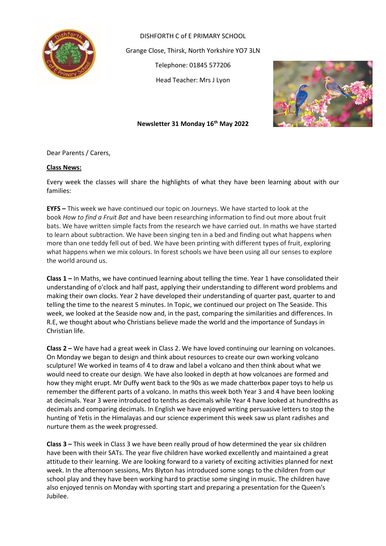

DISHFORTH C of E PRIMARY SCHOOL Grange Close, Thirsk, North Yorkshire YO7 3LN Telephone: 01845 577206 Head Teacher: Mrs J Lyon



## **Newsletter 31 Monday 16th May 2022**

Dear Parents / Carers,

#### **Class News:**

Every week the classes will share the highlights of what they have been learning about with our families:

**EYFS –** This week we have continued our topic on Journeys. We have started to look at the book *How to find a Fruit Bat* and have been researching information to find out more about fruit bats. We have written simple facts from the research we have carried out. In maths we have started to learn about subtraction. We have been singing ten in a bed and finding out what happens when more than one teddy fell out of bed. We have been printing with different types of fruit, exploring what happens when we mix colours. In forest schools we have been using all our senses to explore the world around us.

**Class 1 –** In Maths, we have continued learning about telling the time. Year 1 have consolidated their understanding of o'clock and half past, applying their understanding to different word problems and making their own clocks. Year 2 have developed their understanding of quarter past, quarter to and telling the time to the nearest 5 minutes. In Topic, we continued our project on The Seaside. This week, we looked at the Seaside now and, in the past, comparing the similarities and differences. In R.E, we thought about who Christians believe made the world and the importance of Sundays in Christian life.

**Class 2 –** We have had a great week in Class 2. We have loved continuing our learning on volcanoes. On Monday we began to design and think about resources to create our own working volcano sculpture! We worked in teams of 4 to draw and label a volcano and then think about what we would need to create our design. We have also looked in depth at how volcanoes are formed and how they might erupt. Mr Duffy went back to the 90s as we made chatterbox paper toys to help us remember the different parts of a volcano. In maths this week both Year 3 and 4 have been looking at decimals. Year 3 were introduced to tenths as decimals while Year 4 have looked at hundredths as decimals and comparing decimals. In English we have enjoyed writing persuasive letters to stop the hunting of Yetis in the Himalayas and our science experiment this week saw us plant radishes and nurture them as the week progressed.

**Class 3 –** This week in Class 3 we have been really proud of how determined the year six children have been with their SATs. The year five children have worked excellently and maintained a great attitude to their learning. We are looking forward to a variety of exciting activities planned for next week. In the afternoon sessions, Mrs Blyton has introduced some songs to the children from our school play and they have been working hard to practise some singing in music. The children have also enjoyed tennis on Monday with sporting start and preparing a presentation for the Queen's Jubilee.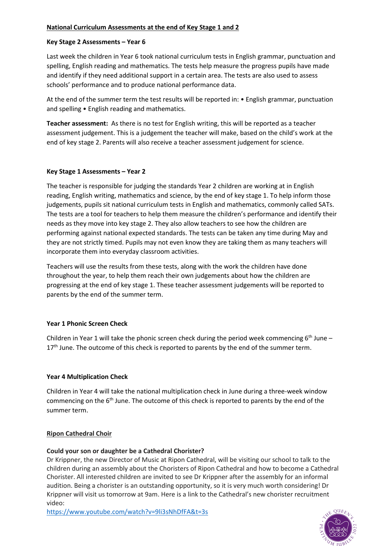# **National Curriculum Assessments at the end of Key Stage 1 and 2**

## **Key Stage 2 Assessments – Year 6**

Last week the children in Year 6 took national curriculum tests in English grammar, punctuation and spelling, English reading and mathematics. The tests help measure the progress pupils have made and identify if they need additional support in a certain area. The tests are also used to assess schools' performance and to produce national performance data.

At the end of the summer term the test results will be reported in: • English grammar, punctuation and spelling • English reading and mathematics.

**Teacher assessment:** As there is no test for English writing, this will be reported as a teacher assessment judgement. This is a judgement the teacher will make, based on the child's work at the end of key stage 2. Parents will also receive a teacher assessment judgement for science.

## **Key Stage 1 Assessments – Year 2**

The teacher is responsible for judging the standards Year 2 children are working at in English reading, English writing, mathematics and science, by the end of key stage 1. To help inform those judgements, pupils sit national curriculum tests in English and mathematics, commonly called SATs. The tests are a tool for teachers to help them measure the children's performance and identify their needs as they move into key stage 2. They also allow teachers to see how the children are performing against national expected standards. The tests can be taken any time during May and they are not strictly timed. Pupils may not even know they are taking them as many teachers will incorporate them into everyday classroom activities.

Teachers will use the results from these tests, along with the work the children have done throughout the year, to help them reach their own judgements about how the children are progressing at the end of key stage 1. These teacher assessment judgements will be reported to parents by the end of the summer term.

## **Year 1 Phonic Screen Check**

Children in Year 1 will take the phonic screen check during the period week commencing  $6<sup>th</sup>$  June –  $17<sup>th</sup>$  June. The outcome of this check is reported to parents by the end of the summer term.

## **Year 4 Multiplication Check**

Children in Year 4 will take the national multiplication check in June during a three-week window commencing on the 6<sup>th</sup> June. The outcome of this check is reported to parents by the end of the summer term.

#### **Ripon Cathedral Choir**

#### **Could your son or daughter be a Cathedral Chorister?**

Dr Krippner, the new Director of Music at Ripon Cathedral, will be visiting our school to talk to the children during an assembly about the Choristers of Ripon Cathedral and how to become a Cathedral Chorister. All interested children are invited to see Dr Krippner after the assembly for an informal audition. Being a chorister is an outstanding opportunity, so it is very much worth considering! Dr Krippner will visit us tomorrow at 9am. Here is a link to the Cathedral's new chorister recruitment video:



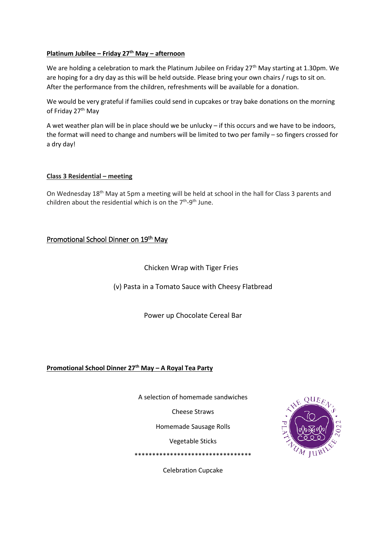# **Platinum Jubilee – Friday 27th May – afternoon**

We are holding a celebration to mark the Platinum Jubilee on Friday 27<sup>th</sup> May starting at 1.30pm. We are hoping for a dry day as this will be held outside. Please bring your own chairs / rugs to sit on. After the performance from the children, refreshments will be available for a donation.

We would be very grateful if families could send in cupcakes or tray bake donations on the morning of Friday 27<sup>th</sup> May

A wet weather plan will be in place should we be unlucky – if this occurs and we have to be indoors, the format will need to change and numbers will be limited to two per family – so fingers crossed for a dry day!

#### **Class 3 Residential – meeting**

On Wednesday 18<sup>th</sup> May at 5pm a meeting will be held at school in the hall for Class 3 parents and children about the residential which is on the  $7<sup>th</sup>$ -9<sup>th</sup> June.

# Promotional School Dinner on 19<sup>th</sup> May

# Chicken Wrap with Tiger Fries

(v) Pasta in a Tomato Sauce with Cheesy Flatbread

Power up Chocolate Cereal Bar

## **Promotional School Dinner 27th May – A Royal Tea Party**

A selection of homemade sandwiches

Cheese Straws

Homemade Sausage Rolls

Vegetable Sticks

\*\*\*\*\*\*\*\*\*\*\*\*\*\*\*\*\*\*\*\*\*\*\*\*\*\*\*\*\*\*\*\*\*



Celebration Cupcake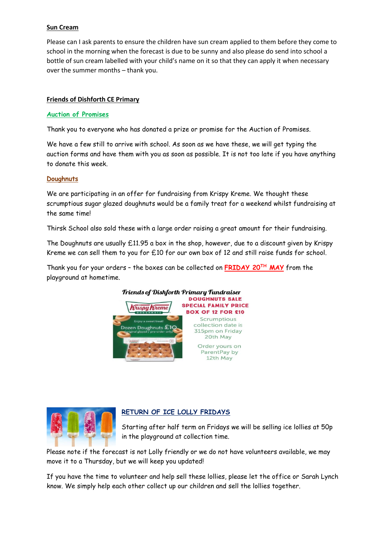## **Sun Cream**

Please can I ask parents to ensure the children have sun cream applied to them before they come to school in the morning when the forecast is due to be sunny and also please do send into school a bottle of sun cream labelled with your child's name on it so that they can apply it when necessary over the summer months – thank you.

# **Friends of Dishforth CE Primary**

## **Auction of Promises**

Thank you to everyone who has donated a prize or promise for the Auction of Promises.

We have a few still to arrive with school. As soon as we have these, we will get typing the auction forms and have them with you as soon as possible. It is not too late if you have anything to donate this week.

# **Doughnuts**

We are participating in an offer for fundraising from Krispy Kreme. We thought these scrumptious sugar glazed doughnuts would be a family treat for a weekend whilst fundraising at the same time!

Thirsk School also sold these with a large order raising a great amount for their fundraising.

The Doughnuts are usually £11.95 a box in the shop, however, due to a discount given by Krispy Kreme we can sell them to you for £10 for our own box of 12 and still raise funds for school.

Thank you for your orders – the boxes can be collected on **FRIDAY 20TH MAY** from the playground at hometime.





# **RETURN OF ICE LOLLY FRIDAYS**

Starting after half term on Fridays we will be selling ice lollies at 50p in the playground at collection time.

Please note if the forecast is not Lolly friendly or we do not have volunteers available, we may move it to a Thursday, but we will keep you updated!

If you have the time to volunteer and help sell these lollies, please let the office or Sarah Lynch know. We simply help each other collect up our children and sell the lollies together.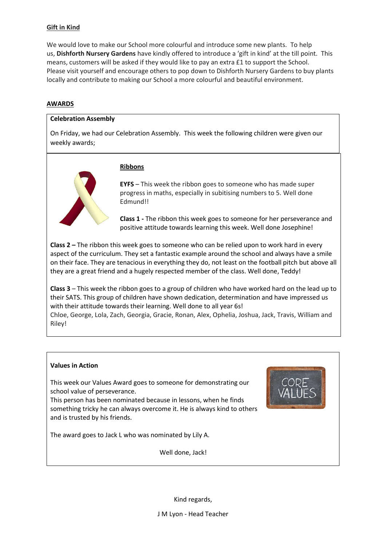## **Gift in Kind**

We would love to make our School more colourful and introduce some new plants. To help us, **Dishforth Nursery Gardens** have kindly offered to introduce a 'gift in kind' at the till point. This means, customers will be asked if they would like to pay an extra £1 to support the School. Please visit yourself and encourage others to pop down to Dishforth Nursery Gardens to buy plants locally and contribute to making our School a more colourful and beautiful environment.

## **AWARDS**

## **Celebration Assembly**

On Friday, we had our Celebration Assembly. This week the following children were given our weekly awards;



# **Ribbons**

**EYFS** – This week the ribbon goes to someone who has made super progress in maths, especially in subitising numbers to 5. Well done Edmund!!

**Class 1 -** The ribbon this week goes to someone for her perseverance and positive attitude towards learning this week. Well done Josephine!

**Class 2 –** The ribbon this week goes to someone who can be relied upon to work hard in every aspect of the curriculum. They set a fantastic example around the school and always have a smile on their face. They are tenacious in everything they do, not least on the football pitch but above all they are a great friend and a hugely respected member of the class. Well done, Teddy!

**Class 3** – This week the ribbon goes to a group of children who have worked hard on the lead up to their SATS. This group of children have shown dedication, determination and have impressed us with their attitude towards their learning. Well done to all year 6s! Chloe, George, Lola, Zach, Georgia, Gracie, Ronan, Alex, Ophelia, Joshua, Jack, Travis, William and

## **Values in Action**

Riley!

This week our Values Award goes to someone for demonstrating our school value of perseverance.

This person has been nominated because in lessons, when he finds something tricky he can always overcome it. He is always kind to others and is trusted by his friends.



The award goes to Jack L who was nominated by Lily A.

Well done, Jack!

Kind regards,